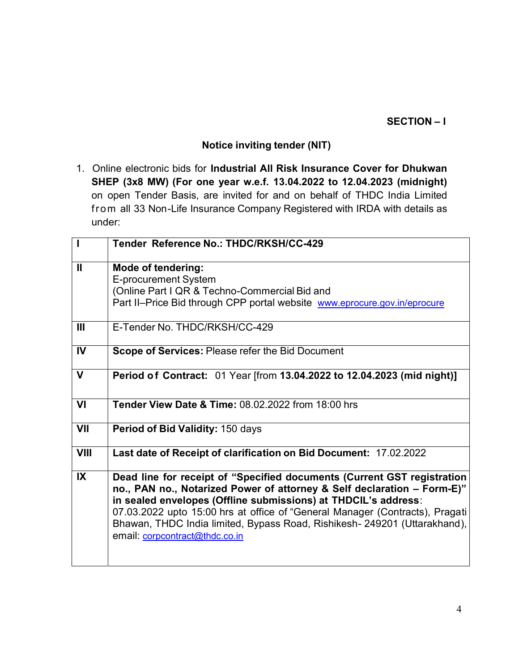## SECTION – I

## Notice inviting tender (NIT)

1. Online electronic bids for Industrial All Risk Insurance Cover for Dhukwan SHEP (3x8 MW) (For one year w.e.f. 13.04.2022 to 12.04.2023 (midnight) on open Tender Basis, are invited for and on behalf of THDC India Limited from all 33 Non-Life Insurance Company Registered with IRDA with details as under:

| $\overline{\phantom{a}}$ | Tender Reference No.: THDC/RKSH/CC-429                                                                                                                                                                                                                                                                                                                                                                              |
|--------------------------|---------------------------------------------------------------------------------------------------------------------------------------------------------------------------------------------------------------------------------------------------------------------------------------------------------------------------------------------------------------------------------------------------------------------|
| $\mathbf{II}$            | <b>Mode of tendering:</b><br>E-procurement System<br>(Online Part I QR & Techno-Commercial Bid and<br>Part II-Price Bid through CPP portal website www.eprocure.gov.in/eprocure                                                                                                                                                                                                                                     |
| $\mathbf{m}$             | E-Tender No. THDC/RKSH/CC-429                                                                                                                                                                                                                                                                                                                                                                                       |
| <b>IV</b>                | Scope of Services: Please refer the Bid Document                                                                                                                                                                                                                                                                                                                                                                    |
| V                        | Period of Contract: 01 Year [from 13.04.2022 to 12.04.2023 (mid night)]                                                                                                                                                                                                                                                                                                                                             |
| VI                       | <b>Tender View Date &amp; Time: 08.02.2022 from 18:00 hrs</b>                                                                                                                                                                                                                                                                                                                                                       |
| VII                      | Period of Bid Validity: 150 days                                                                                                                                                                                                                                                                                                                                                                                    |
| <b>VIII</b>              | Last date of Receipt of clarification on Bid Document: 17.02.2022                                                                                                                                                                                                                                                                                                                                                   |
| $\overline{\mathbf{X}}$  | Dead line for receipt of "Specified documents (Current GST registration<br>no., PAN no., Notarized Power of attorney & Self declaration - Form-E)"<br>in sealed envelopes (Offline submissions) at THDCIL's address:<br>07.03.2022 upto 15:00 hrs at office of "General Manager (Contracts), Pragati<br>Bhawan, THDC India limited, Bypass Road, Rishikesh- 249201 (Uttarakhand),<br>email: corpcontract@thdc.co.in |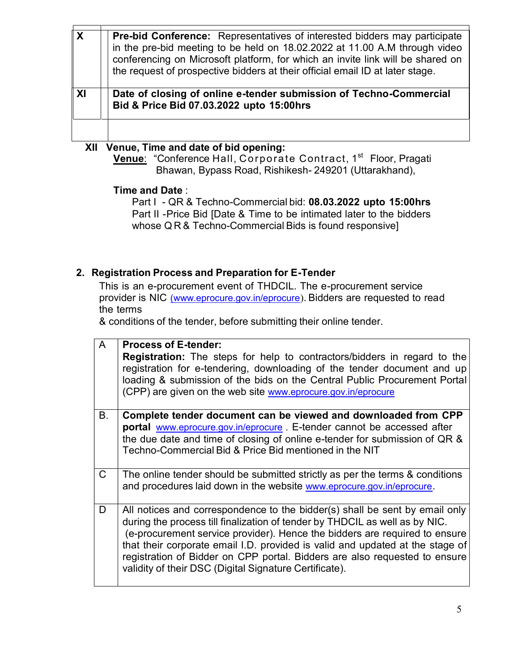| $\boldsymbol{X}$ | <b>Pre-bid Conference:</b> Representatives of interested bidders may participate<br>in the pre-bid meeting to be held on 18.02.2022 at 11.00 A.M through video<br>conferencing on Microsoft platform, for which an invite link will be shared on<br>the request of prospective bidders at their official email ID at later stage. |
|------------------|-----------------------------------------------------------------------------------------------------------------------------------------------------------------------------------------------------------------------------------------------------------------------------------------------------------------------------------|
|                  |                                                                                                                                                                                                                                                                                                                                   |
|                  | Date of closing of online e-tender submission of Techno-Commercial<br>Bid & Price Bid 07.03.2022 upto 15:00hrs                                                                                                                                                                                                                    |
| $ \mathbf{X} $   |                                                                                                                                                                                                                                                                                                                                   |

## or nia opening.

Venue: "Conference Hall, Corporate Contract, 1<sup>st</sup> Floor, Pragati Bhawan, Bypass Road, Rishikesh- 249201 (Uttarakhand),

Time and Date :

Part I - QR & Techno-Commercial bid: 08.03.2022 upto 15:00hrs Part II -Price Bid [Date & Time to be intimated later to the bidders whose Q R & Techno-Commercial Bids is found responsive]

## 2. Registration Process and Preparation for E-Tender

This is an e-procurement event of THDCIL. The e-procurement service provider is NIC (www.eprocure.gov.in/eprocure). Bidders are requested to read the terms

& conditions of the tender, before submitting their online tender.

| $\mathsf{A}$ | <b>Process of E-tender:</b>                                                                                                                                                                                                                                                                                                                                                                                                                                       |
|--------------|-------------------------------------------------------------------------------------------------------------------------------------------------------------------------------------------------------------------------------------------------------------------------------------------------------------------------------------------------------------------------------------------------------------------------------------------------------------------|
|              | <b>Registration:</b> The steps for help to contractors/bidders in regard to the<br>registration for e-tendering, downloading of the tender document and up<br>loading & submission of the bids on the Central Public Procurement Portal<br>(CPP) are given on the web site www.eprocure.gov.in/eprocure                                                                                                                                                           |
| <b>B.</b>    | Complete tender document can be viewed and downloaded from CPP<br>portal www.eprocure.gov.in/eprocure. E-tender cannot be accessed after<br>the due date and time of closing of online e-tender for submission of QR &<br>Techno-Commercial Bid & Price Bid mentioned in the NIT                                                                                                                                                                                  |
| $\mathsf{C}$ | The online tender should be submitted strictly as per the terms & conditions<br>and procedures laid down in the website www.eprocure.gov.in/eprocure.                                                                                                                                                                                                                                                                                                             |
| D            | All notices and correspondence to the bidder(s) shall be sent by email only<br>during the process till finalization of tender by THDCIL as well as by NIC.<br>(e-procurement service provider). Hence the bidders are required to ensure<br>that their corporate email I.D. provided is valid and updated at the stage of<br>registration of Bidder on CPP portal. Bidders are also requested to ensure<br>validity of their DSC (Digital Signature Certificate). |